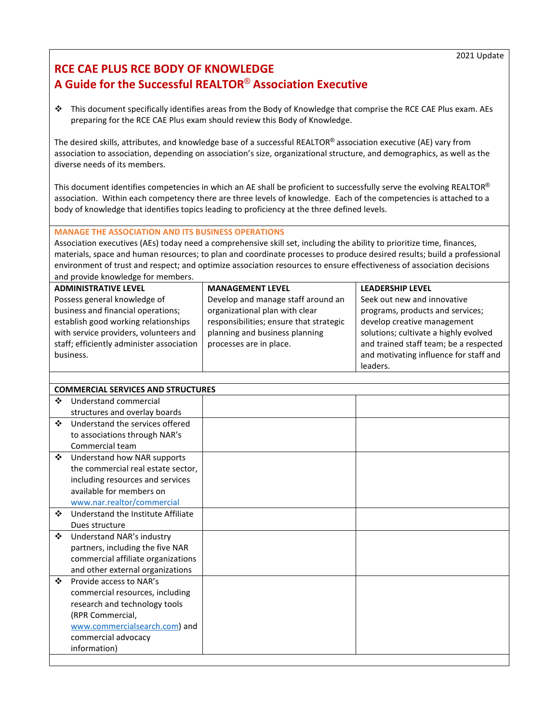## **RCE CAE PLUS RCE BODY OF KNOWLEDGE A Guide for the Successful REALTOR**® **Association Executive**

 This document specifically identifies areas from the Body of Knowledge that comprise the RCE CAE Plus exam. AEs preparing for the RCE CAE Plus exam should review this Body of Knowledge.

The desired skills, attributes, and knowledge base of a successful REALTOR® association executive (AE) vary from association to association, depending on association's size, organizational structure, and demographics, as well as the diverse needs of its members.

This document identifies competencies in which an AE shall be proficient to successfully serve the evolving REALTOR® association. Within each competency there are three levels of knowledge. Each of the competencies is attached to a body of knowledge that identifies topics leading to proficiency at the three defined levels.

## **MANAGE THE ASSOCIATION AND ITS BUSINESS OPERATIONS**

Association executives (AEs) today need a comprehensive skill set, including the ability to prioritize time, finances, materials, space and human resources; to plan and coordinate processes to produce desired results; build a professional environment of trust and respect; and optimize association resources to ensure effectiveness of association decisions and provide knowledge for members.

| <b>ADMINISTRATIVE LEVEL</b>               | <b>MANAGEMENT LEVEL</b>                 | <b>LEADERSHIP LEVEL</b>                |
|-------------------------------------------|-----------------------------------------|----------------------------------------|
| Possess general knowledge of              | Develop and manage staff around an      | Seek out new and innovative            |
| business and financial operations;        | organizational plan with clear          | programs, products and services;       |
| establish good working relationships      | responsibilities; ensure that strategic | develop creative management            |
| with service providers, volunteers and    | planning and business planning          | solutions; cultivate a highly evolved  |
| staff; efficiently administer association | processes are in place.                 | and trained staff team; be a respected |
| business.                                 |                                         | and motivating influence for staff and |
|                                           |                                         | leaders.                               |

|   | <b>COMMERCIAL SERVICES AND STRUCTURES</b> |  |  |  |
|---|-------------------------------------------|--|--|--|
| ❖ | Understand commercial                     |  |  |  |
|   | structures and overlay boards             |  |  |  |
| ❖ | Understand the services offered           |  |  |  |
|   | to associations through NAR's             |  |  |  |
|   | Commercial team                           |  |  |  |
| ❖ | Understand how NAR supports               |  |  |  |
|   | the commercial real estate sector,        |  |  |  |
|   | including resources and services          |  |  |  |
|   | available for members on                  |  |  |  |
|   | www.nar.realtor/commercial                |  |  |  |
| ❖ | Understand the Institute Affiliate        |  |  |  |
|   | Dues structure                            |  |  |  |
| ❖ | Understand NAR's industry                 |  |  |  |
|   | partners, including the five NAR          |  |  |  |
|   | commercial affiliate organizations        |  |  |  |
|   | and other external organizations          |  |  |  |
| ❖ | Provide access to NAR's                   |  |  |  |
|   | commercial resources, including           |  |  |  |
|   | research and technology tools             |  |  |  |
|   | (RPR Commercial,                          |  |  |  |
|   | www.commercialsearch.com) and             |  |  |  |
|   | commercial advocacy                       |  |  |  |
|   | information)                              |  |  |  |
|   |                                           |  |  |  |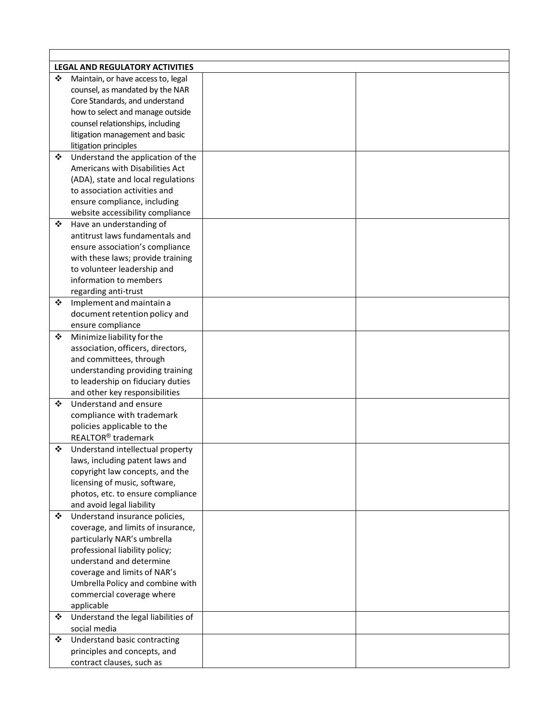|   | <b>LEGAL AND REGULATORY ACTIVITIES</b> |  |
|---|----------------------------------------|--|
| ❖ | Maintain, or have access to, legal     |  |
|   | counsel, as mandated by the NAR        |  |
|   | Core Standards, and understand         |  |
|   | how to select and manage outside       |  |
|   | counsel relationships, including       |  |
|   | litigation management and basic        |  |
|   | litigation principles                  |  |
| ❖ | Understand the application of the      |  |
|   | Americans with Disabilities Act        |  |
|   | (ADA), state and local regulations     |  |
|   | to association activities and          |  |
|   | ensure compliance, including           |  |
|   | website accessibility compliance       |  |
| ❖ | Have an understanding of               |  |
|   | antitrust laws fundamentals and        |  |
|   | ensure association's compliance        |  |
|   | with these laws; provide training      |  |
|   | to volunteer leadership and            |  |
|   | information to members                 |  |
|   | regarding anti-trust                   |  |
| ❖ | Implement and maintain a               |  |
|   | document retention policy and          |  |
|   | ensure compliance                      |  |
| ❖ | Minimize liability for the             |  |
|   | association, officers, directors,      |  |
|   | and committees, through                |  |
|   | understanding providing training       |  |
|   | to leadership on fiduciary duties      |  |
|   | and other key responsibilities         |  |
| ❖ | Understand and ensure                  |  |
|   | compliance with trademark              |  |
|   | policies applicable to the             |  |
|   | REALTOR <sup>®</sup> trademark         |  |
| ❖ | Understand intellectual property       |  |
|   | laws, including patent laws and        |  |
|   | copyright law concepts, and the        |  |
|   | licensing of music, software,          |  |
|   | photos, etc. to ensure compliance      |  |
|   | and avoid legal liability              |  |
| ❖ | Understand insurance policies,         |  |
|   | coverage, and limits of insurance,     |  |
|   | particularly NAR's umbrella            |  |
|   | professional liability policy;         |  |
|   | understand and determine               |  |
|   | coverage and limits of NAR's           |  |
|   | Umbrella Policy and combine with       |  |
|   | commercial coverage where              |  |
|   | applicable                             |  |
| ❖ | Understand the legal liabilities of    |  |
|   | social media                           |  |
| ❖ | Understand basic contracting           |  |
|   | principles and concepts, and           |  |
|   | contract clauses, such as              |  |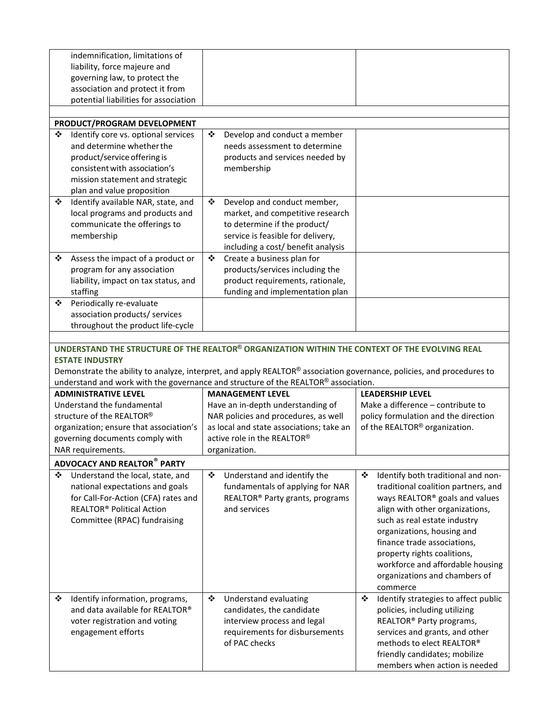|   | indemnification, limitations of<br>liability, force majeure and  |                                                                                                                       |                                                            |
|---|------------------------------------------------------------------|-----------------------------------------------------------------------------------------------------------------------|------------------------------------------------------------|
|   | governing law, to protect the<br>association and protect it from |                                                                                                                       |                                                            |
|   | potential liabilities for association                            |                                                                                                                       |                                                            |
|   |                                                                  |                                                                                                                       |                                                            |
|   | PRODUCT/PROGRAM DEVELOPMENT                                      |                                                                                                                       |                                                            |
| ❖ | Identify core vs. optional services                              | ❖<br>Develop and conduct a member                                                                                     |                                                            |
|   | and determine whether the                                        | needs assessment to determine                                                                                         |                                                            |
|   | product/service offering is                                      | products and services needed by                                                                                       |                                                            |
|   | consistent with association's                                    | membership                                                                                                            |                                                            |
|   | mission statement and strategic                                  |                                                                                                                       |                                                            |
| ❖ | plan and value proposition<br>Identify available NAR, state, and | ❖<br>Develop and conduct member,                                                                                      |                                                            |
|   | local programs and products and                                  | market, and competitive research                                                                                      |                                                            |
|   | communicate the offerings to                                     | to determine if the product/                                                                                          |                                                            |
|   | membership                                                       | service is feasible for delivery,                                                                                     |                                                            |
|   |                                                                  | including a cost/ benefit analysis                                                                                    |                                                            |
| ❖ | Assess the impact of a product or                                | Create a business plan for<br>❖                                                                                       |                                                            |
|   | program for any association                                      | products/services including the                                                                                       |                                                            |
|   | liability, impact on tax status, and                             | product requirements, rationale,                                                                                      |                                                            |
|   | staffing                                                         | funding and implementation plan                                                                                       |                                                            |
| ❖ | Periodically re-evaluate<br>association products/ services       |                                                                                                                       |                                                            |
|   | throughout the product life-cycle                                |                                                                                                                       |                                                            |
|   |                                                                  |                                                                                                                       |                                                            |
|   |                                                                  | UNDERSTAND THE STRUCTURE OF THE REALTOR® ORGANIZATION WITHIN THE CONTEXT OF THE EVOLVING REAL                         |                                                            |
|   | <b>ESTATE INDUSTRY</b>                                           | Demonstrate the ability to analyze, interpret, and apply REALTOR® association governance, policies, and procedures to |                                                            |
|   | <b>ADMINISTRATIVE LEVEL</b>                                      | understand and work with the governance and structure of the REALTOR® association.<br><b>MANAGEMENT LEVEL</b>         | <b>LEADERSHIP LEVEL</b>                                    |
|   | Understand the fundamental                                       |                                                                                                                       | Make a difference - contribute to                          |
|   | structure of the REALTOR®                                        | Have an in-depth understanding of<br>NAR policies and procedures, as well                                             | policy formulation and the direction                       |
|   | organization; ensure that association's                          | as local and state associations; take an                                                                              | of the REALTOR <sup>®</sup> organization.                  |
|   | governing documents comply with                                  | active role in the REALTOR®                                                                                           |                                                            |
|   | NAR requirements.                                                | organization.                                                                                                         |                                                            |
|   | <b>ADVOCACY AND REALTOR® PARTY</b>                               |                                                                                                                       |                                                            |
| ❖ | Understand the local, state, and                                 | ❖<br>Understand and identify the                                                                                      | Identify both traditional and non-<br>❖                    |
|   | national expectations and goals                                  | fundamentals of applying for NAR                                                                                      | traditional coalition partners, and                        |
|   | for Call-For-Action (CFA) rates and                              | REALTOR <sup>®</sup> Party grants, programs                                                                           | ways REALTOR® goals and values                             |
|   | <b>REALTOR<sup>®</sup> Political Action</b>                      | and services                                                                                                          | align with other organizations,                            |
|   | Committee (RPAC) fundraising                                     |                                                                                                                       | such as real estate industry                               |
|   |                                                                  |                                                                                                                       | organizations, housing and                                 |
|   |                                                                  |                                                                                                                       | finance trade associations,<br>property rights coalitions, |
|   |                                                                  |                                                                                                                       | workforce and affordable housing                           |
|   |                                                                  |                                                                                                                       | organizations and chambers of                              |
|   |                                                                  |                                                                                                                       | commerce                                                   |
| ❖ | Identify information, programs,                                  | ❖<br>Understand evaluating                                                                                            | Identify strategies to affect public<br>❖                  |
|   | and data available for REALTOR®                                  | candidates, the candidate                                                                                             | policies, including utilizing                              |
|   | voter registration and voting                                    | interview process and legal                                                                                           | REALTOR <sup>®</sup> Party programs,                       |
|   | engagement efforts                                               | requirements for disbursements                                                                                        | services and grants, and other                             |
|   |                                                                  | of PAC checks                                                                                                         | methods to elect REALTOR®<br>friendly candidates; mobilize |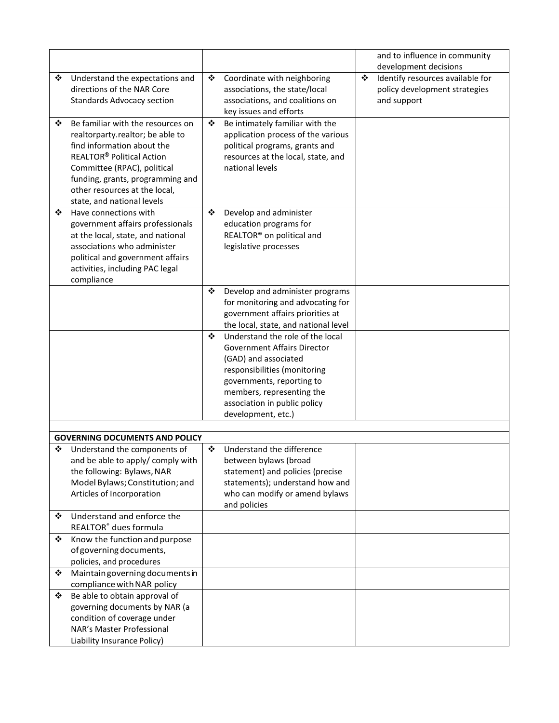|   |                                                                       |   |                                                                  |   | and to influence in community                |
|---|-----------------------------------------------------------------------|---|------------------------------------------------------------------|---|----------------------------------------------|
|   |                                                                       |   |                                                                  |   | development decisions                        |
| ❖ | Understand the expectations and                                       | ❖ | Coordinate with neighboring                                      | ❖ | Identify resources available for             |
|   | directions of the NAR Core<br><b>Standards Advocacy section</b>       |   | associations, the state/local<br>associations, and coalitions on |   | policy development strategies<br>and support |
|   |                                                                       |   | key issues and efforts                                           |   |                                              |
| ❖ | Be familiar with the resources on                                     | ❖ | Be intimately familiar with the                                  |   |                                              |
|   | realtorparty.realtor; be able to                                      |   | application process of the various                               |   |                                              |
|   | find information about the                                            |   | political programs, grants and                                   |   |                                              |
|   | <b>REALTOR<sup>®</sup> Political Action</b>                           |   | resources at the local, state, and                               |   |                                              |
|   | Committee (RPAC), political                                           |   | national levels                                                  |   |                                              |
|   | funding, grants, programming and                                      |   |                                                                  |   |                                              |
|   | other resources at the local,                                         |   |                                                                  |   |                                              |
|   | state, and national levels                                            |   |                                                                  |   |                                              |
| ❖ | Have connections with                                                 | ❖ | Develop and administer                                           |   |                                              |
|   | government affairs professionals<br>at the local, state, and national |   | education programs for<br>REALTOR <sup>®</sup> on political and  |   |                                              |
|   | associations who administer                                           |   | legislative processes                                            |   |                                              |
|   | political and government affairs                                      |   |                                                                  |   |                                              |
|   | activities, including PAC legal                                       |   |                                                                  |   |                                              |
|   | compliance                                                            |   |                                                                  |   |                                              |
|   |                                                                       | ❖ | Develop and administer programs                                  |   |                                              |
|   |                                                                       |   | for monitoring and advocating for                                |   |                                              |
|   |                                                                       |   | government affairs priorities at                                 |   |                                              |
|   |                                                                       |   | the local, state, and national level                             |   |                                              |
|   |                                                                       | ❖ | Understand the role of the local                                 |   |                                              |
|   |                                                                       |   | Government Affairs Director<br>(GAD) and associated              |   |                                              |
|   |                                                                       |   | responsibilities (monitoring                                     |   |                                              |
|   |                                                                       |   | governments, reporting to                                        |   |                                              |
|   |                                                                       |   | members, representing the                                        |   |                                              |
|   |                                                                       |   | association in public policy                                     |   |                                              |
|   |                                                                       |   | development, etc.)                                               |   |                                              |
|   |                                                                       |   |                                                                  |   |                                              |
|   | <b>GOVERNING DOCUMENTS AND POLICY</b>                                 |   |                                                                  |   |                                              |
| ❖ | Understand the components of<br>and be able to apply/ comply with     | ❖ | Understand the difference<br>between bylaws (broad               |   |                                              |
|   | the following: Bylaws, NAR                                            |   | statement) and policies (precise                                 |   |                                              |
|   | Model Bylaws; Constitution; and                                       |   | statements); understand how and                                  |   |                                              |
|   | Articles of Incorporation                                             |   | who can modify or amend bylaws                                   |   |                                              |
|   |                                                                       |   | and policies                                                     |   |                                              |
| ❖ | Understand and enforce the                                            |   |                                                                  |   |                                              |
|   | REALTOR® dues formula                                                 |   |                                                                  |   |                                              |
| ❖ | Know the function and purpose                                         |   |                                                                  |   |                                              |
|   | of governing documents,                                               |   |                                                                  |   |                                              |
|   | policies, and procedures                                              |   |                                                                  |   |                                              |
| ❖ | Maintain governing documents in<br>compliance with NAR policy         |   |                                                                  |   |                                              |
| ❖ | Be able to obtain approval of                                         |   |                                                                  |   |                                              |
|   | governing documents by NAR (a                                         |   |                                                                  |   |                                              |
|   | condition of coverage under                                           |   |                                                                  |   |                                              |
|   | NAR's Master Professional                                             |   |                                                                  |   |                                              |
|   | Liability Insurance Policy)                                           |   |                                                                  |   |                                              |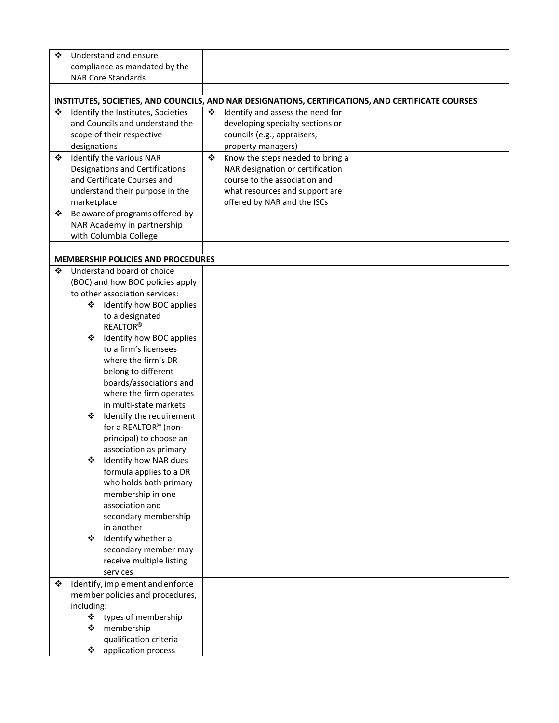| ❖ | Understand and ensure                     |   |                                                                                                    |  |
|---|-------------------------------------------|---|----------------------------------------------------------------------------------------------------|--|
|   | compliance as mandated by the             |   |                                                                                                    |  |
|   | <b>NAR Core Standards</b>                 |   |                                                                                                    |  |
|   |                                           |   |                                                                                                    |  |
|   |                                           |   | INSTITUTES, SOCIETIES, AND COUNCILS, AND NAR DESIGNATIONS, CERTIFICATIONS, AND CERTIFICATE COURSES |  |
| ❖ | Identify the Institutes, Societies        | ❖ | Identify and assess the need for                                                                   |  |
|   | and Councils and understand the           |   | developing specialty sections or                                                                   |  |
|   | scope of their respective                 |   | councils (e.g., appraisers,                                                                        |  |
|   | designations                              |   | property managers)                                                                                 |  |
| ❖ | Identify the various NAR                  | ❖ | Know the steps needed to bring a                                                                   |  |
|   | Designations and Certifications           |   | NAR designation or certification                                                                   |  |
|   | and Certificate Courses and               |   | course to the association and                                                                      |  |
|   | understand their purpose in the           |   | what resources and support are                                                                     |  |
|   | marketplace                               |   | offered by NAR and the ISCs                                                                        |  |
| ❖ | Be aware of programs offered by           |   |                                                                                                    |  |
|   | NAR Academy in partnership                |   |                                                                                                    |  |
|   | with Columbia College                     |   |                                                                                                    |  |
|   |                                           |   |                                                                                                    |  |
|   | <b>MEMBERSHIP POLICIES AND PROCEDURES</b> |   |                                                                                                    |  |
| ❖ | Understand board of choice                |   |                                                                                                    |  |
|   | (BOC) and how BOC policies apply          |   |                                                                                                    |  |
|   | to other association services:            |   |                                                                                                    |  |
|   | ❖ Identify how BOC applies                |   |                                                                                                    |  |
|   | to a designated                           |   |                                                                                                    |  |
|   | <b>REALTOR®</b>                           |   |                                                                                                    |  |
|   | Identify how BOC applies<br>❖             |   |                                                                                                    |  |
|   | to a firm's licensees                     |   |                                                                                                    |  |
|   | where the firm's DR                       |   |                                                                                                    |  |
|   | belong to different                       |   |                                                                                                    |  |
|   | boards/associations and                   |   |                                                                                                    |  |
|   | where the firm operates                   |   |                                                                                                    |  |
|   | in multi-state markets                    |   |                                                                                                    |  |
|   | Identify the requirement<br>❖             |   |                                                                                                    |  |
|   | for a REALTOR® (non-                      |   |                                                                                                    |  |
|   | principal) to choose an                   |   |                                                                                                    |  |
|   | association as primary                    |   |                                                                                                    |  |
|   | Identify how NAR dues                     |   |                                                                                                    |  |
|   | formula applies to a DR                   |   |                                                                                                    |  |
|   | who holds both primary                    |   |                                                                                                    |  |
|   | membership in one                         |   |                                                                                                    |  |
|   | association and                           |   |                                                                                                    |  |
|   | secondary membership<br>in another        |   |                                                                                                    |  |
|   | Identify whether a<br>❖                   |   |                                                                                                    |  |
|   | secondary member may                      |   |                                                                                                    |  |
|   | receive multiple listing                  |   |                                                                                                    |  |
|   | services                                  |   |                                                                                                    |  |
| ❖ | Identify, implement and enforce           |   |                                                                                                    |  |
|   | member policies and procedures,           |   |                                                                                                    |  |
|   | including:                                |   |                                                                                                    |  |
|   | ❖<br>types of membership                  |   |                                                                                                    |  |
|   | membership<br>❖                           |   |                                                                                                    |  |
|   | qualification criteria                    |   |                                                                                                    |  |
|   | application process<br>❖                  |   |                                                                                                    |  |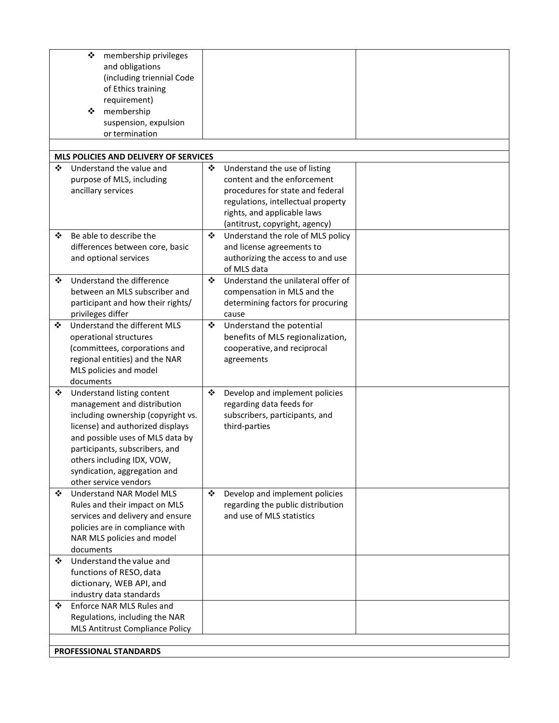|   | ❖<br>membership privileges                                          |   |                                                            |  |
|---|---------------------------------------------------------------------|---|------------------------------------------------------------|--|
|   | and obligations                                                     |   |                                                            |  |
|   | (including triennial Code                                           |   |                                                            |  |
|   | of Ethics training                                                  |   |                                                            |  |
|   | requirement)                                                        |   |                                                            |  |
|   | membership<br>❖                                                     |   |                                                            |  |
|   | suspension, expulsion                                               |   |                                                            |  |
|   | or termination                                                      |   |                                                            |  |
|   | MLS POLICIES AND DELIVERY OF SERVICES                               |   |                                                            |  |
| ❖ | Understand the value and                                            | ❖ | Understand the use of listing                              |  |
|   | purpose of MLS, including                                           |   | content and the enforcement                                |  |
|   | ancillary services                                                  |   | procedures for state and federal                           |  |
|   |                                                                     |   | regulations, intellectual property                         |  |
|   |                                                                     |   | rights, and applicable laws                                |  |
|   |                                                                     |   | (antitrust, copyright, agency)                             |  |
| ❖ | Be able to describe the                                             | ❖ | Understand the role of MLS policy                          |  |
|   | differences between core, basic                                     |   | and license agreements to                                  |  |
|   | and optional services                                               |   | authorizing the access to and use                          |  |
| ❖ | Understand the difference                                           | ❖ | of MLS data<br>Understand the unilateral offer of          |  |
|   | between an MLS subscriber and                                       |   | compensation in MLS and the                                |  |
|   | participant and how their rights/                                   |   | determining factors for procuring                          |  |
|   | privileges differ                                                   |   | cause                                                      |  |
| ❖ | Understand the different MLS                                        | ❖ | Understand the potential                                   |  |
|   | operational structures                                              |   | benefits of MLS regionalization,                           |  |
|   | (committees, corporations and                                       |   | cooperative, and reciprocal                                |  |
|   | regional entities) and the NAR                                      |   | agreements                                                 |  |
|   | MLS policies and model                                              |   |                                                            |  |
|   | documents                                                           |   |                                                            |  |
| ❖ | Understand listing content<br>management and distribution           | ❖ | Develop and implement policies<br>regarding data feeds for |  |
|   | including ownership (copyright vs.                                  |   | subscribers, participants, and                             |  |
|   | license) and authorized displays                                    |   | third-parties                                              |  |
|   | and possible uses of MLS data by                                    |   |                                                            |  |
|   | participants, subscribers, and                                      |   |                                                            |  |
|   | others including IDX, VOW,                                          |   |                                                            |  |
|   | syndication, aggregation and                                        |   |                                                            |  |
|   | other service vendors                                               |   |                                                            |  |
| ❖ | <b>Understand NAR Model MLS</b>                                     | ❖ | Develop and implement policies                             |  |
|   | Rules and their impact on MLS                                       |   | regarding the public distribution                          |  |
|   | services and delivery and ensure<br>policies are in compliance with |   | and use of MLS statistics                                  |  |
|   | NAR MLS policies and model                                          |   |                                                            |  |
|   | documents                                                           |   |                                                            |  |
| ❖ | Understand the value and                                            |   |                                                            |  |
|   | functions of RESO, data                                             |   |                                                            |  |
|   | dictionary, WEB API, and                                            |   |                                                            |  |
|   | industry data standards                                             |   |                                                            |  |
| ❖ | Enforce NAR MLS Rules and                                           |   |                                                            |  |
|   | Regulations, including the NAR                                      |   |                                                            |  |
|   | <b>MLS Antitrust Compliance Policy</b>                              |   |                                                            |  |
|   |                                                                     |   |                                                            |  |
|   | PROFESSIONAL STANDARDS                                              |   |                                                            |  |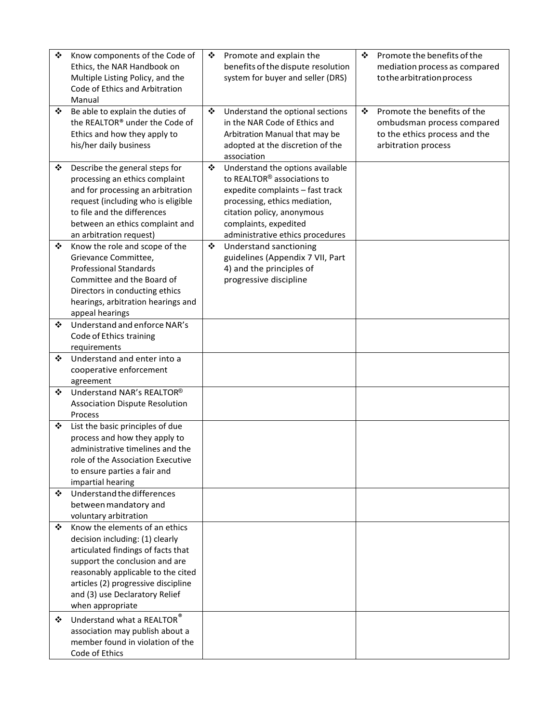| ❖      | Know components of the Code of<br>Ethics, the NAR Handbook on<br>Multiple Listing Policy, and the<br>Code of Ethics and Arbitration<br>Manual                                                                                                                                                              | ❖ | Promote and explain the<br>benefits of the dispute resolution<br>system for buyer and seller (DRS)                                                                                                                                          | ❖ | Promote the benefits of the<br>mediation process as compared<br>to the arbitration process                        |
|--------|------------------------------------------------------------------------------------------------------------------------------------------------------------------------------------------------------------------------------------------------------------------------------------------------------------|---|---------------------------------------------------------------------------------------------------------------------------------------------------------------------------------------------------------------------------------------------|---|-------------------------------------------------------------------------------------------------------------------|
| ❖      | Be able to explain the duties of<br>the REALTOR® under the Code of<br>Ethics and how they apply to<br>his/her daily business                                                                                                                                                                               | ❖ | Understand the optional sections<br>in the NAR Code of Ethics and<br>Arbitration Manual that may be<br>adopted at the discretion of the<br>association                                                                                      | ❖ | Promote the benefits of the<br>ombudsman process compared<br>to the ethics process and the<br>arbitration process |
| ❖      | Describe the general steps for<br>processing an ethics complaint<br>and for processing an arbitration<br>request (including who is eligible<br>to file and the differences<br>between an ethics complaint and<br>an arbitration request)                                                                   | ❖ | Understand the options available<br>to REALTOR <sup>®</sup> associations to<br>expedite complaints - fast track<br>processing, ethics mediation,<br>citation policy, anonymous<br>complaints, expedited<br>administrative ethics procedures |   |                                                                                                                   |
| ❖      | Know the role and scope of the<br>Grievance Committee,<br><b>Professional Standards</b><br>Committee and the Board of<br>Directors in conducting ethics<br>hearings, arbitration hearings and<br>appeal hearings                                                                                           | ❖ | Understand sanctioning<br>guidelines (Appendix 7 VII, Part<br>4) and the principles of<br>progressive discipline                                                                                                                            |   |                                                                                                                   |
| ❖      | Understand and enforce NAR's<br>Code of Ethics training<br>requirements                                                                                                                                                                                                                                    |   |                                                                                                                                                                                                                                             |   |                                                                                                                   |
| ❖      | Understand and enter into a<br>cooperative enforcement<br>agreement                                                                                                                                                                                                                                        |   |                                                                                                                                                                                                                                             |   |                                                                                                                   |
| ❖      | Understand NAR's REALTOR®<br><b>Association Dispute Resolution</b><br>Process                                                                                                                                                                                                                              |   |                                                                                                                                                                                                                                             |   |                                                                                                                   |
| ❖      | List the basic principles of due<br>process and how they apply to<br>administrative timelines and the<br>role of the Association Executive<br>to ensure parties a fair and<br>impartial hearing                                                                                                            |   |                                                                                                                                                                                                                                             |   |                                                                                                                   |
| ❖      | Understand the differences<br>between mandatory and<br>voluntary arbitration                                                                                                                                                                                                                               |   |                                                                                                                                                                                                                                             |   |                                                                                                                   |
| ❖<br>❖ | Know the elements of an ethics<br>decision including: (1) clearly<br>articulated findings of facts that<br>support the conclusion and are<br>reasonably applicable to the cited<br>articles (2) progressive discipline<br>and (3) use Declaratory Relief<br>when appropriate<br>Understand what a REALTOR® |   |                                                                                                                                                                                                                                             |   |                                                                                                                   |
|        | association may publish about a<br>member found in violation of the<br>Code of Ethics                                                                                                                                                                                                                      |   |                                                                                                                                                                                                                                             |   |                                                                                                                   |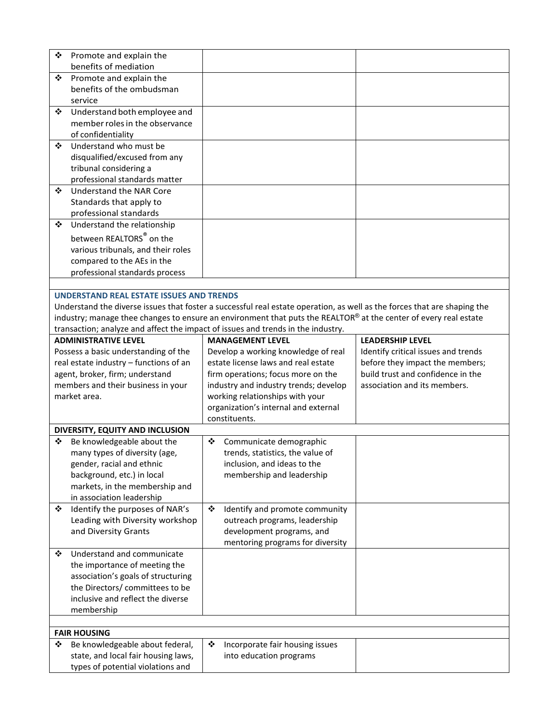| ❖ | Promote and explain the                                                  |                                                                                                                          |                                     |
|---|--------------------------------------------------------------------------|--------------------------------------------------------------------------------------------------------------------------|-------------------------------------|
| ❖ | benefits of mediation<br>Promote and explain the                         |                                                                                                                          |                                     |
|   | benefits of the ombudsman                                                |                                                                                                                          |                                     |
|   | service                                                                  |                                                                                                                          |                                     |
| ❖ | Understand both employee and                                             |                                                                                                                          |                                     |
|   | member roles in the observance                                           |                                                                                                                          |                                     |
|   | of confidentiality                                                       |                                                                                                                          |                                     |
| ❖ | Understand who must be                                                   |                                                                                                                          |                                     |
|   | disqualified/excused from any                                            |                                                                                                                          |                                     |
|   | tribunal considering a                                                   |                                                                                                                          |                                     |
|   | professional standards matter                                            |                                                                                                                          |                                     |
| ❖ | Understand the NAR Core                                                  |                                                                                                                          |                                     |
|   | Standards that apply to                                                  |                                                                                                                          |                                     |
|   | professional standards                                                   |                                                                                                                          |                                     |
| ❖ | Understand the relationship                                              |                                                                                                                          |                                     |
|   | between REALTORS® on the                                                 |                                                                                                                          |                                     |
|   | various tribunals, and their roles                                       |                                                                                                                          |                                     |
|   | compared to the AEs in the                                               |                                                                                                                          |                                     |
|   | professional standards process                                           |                                                                                                                          |                                     |
|   | <b>UNDERSTAND REAL ESTATE ISSUES AND TRENDS</b>                          |                                                                                                                          |                                     |
|   |                                                                          | Understand the diverse issues that foster a successful real estate operation, as well as the forces that are shaping the |                                     |
|   |                                                                          | industry; manage thee changes to ensure an environment that puts the REALTOR® at the center of every real estate         |                                     |
|   |                                                                          | transaction; analyze and affect the impact of issues and trends in the industry.                                         |                                     |
|   | <b>ADMINISTRATIVE LEVEL</b>                                              | <b>MANAGEMENT LEVEL</b>                                                                                                  | <b>LEADERSHIP LEVEL</b>             |
|   | Possess a basic understanding of the                                     | Develop a working knowledge of real                                                                                      | Identify critical issues and trends |
|   |                                                                          | estate license laws and real estate                                                                                      | before they impact the members;     |
|   |                                                                          |                                                                                                                          |                                     |
|   | real estate industry - functions of an                                   |                                                                                                                          | build trust and confidence in the   |
|   | agent, broker, firm; understand<br>members and their business in your    | firm operations; focus more on the<br>industry and industry trends; develop                                              | association and its members.        |
|   | market area.                                                             | working relationships with your                                                                                          |                                     |
|   |                                                                          | organization's internal and external                                                                                     |                                     |
|   |                                                                          | constituents.                                                                                                            |                                     |
|   | DIVERSITY, EQUITY AND INCLUSION                                          |                                                                                                                          |                                     |
| ❖ | Be knowledgeable about the                                               | Communicate demographic<br>❖                                                                                             |                                     |
|   | many types of diversity (age,                                            | trends, statistics, the value of                                                                                         |                                     |
|   | gender, racial and ethnic                                                | inclusion, and ideas to the                                                                                              |                                     |
|   | background, etc.) in local                                               | membership and leadership                                                                                                |                                     |
|   | markets, in the membership and                                           |                                                                                                                          |                                     |
|   | in association leadership                                                |                                                                                                                          |                                     |
| ❖ | Identify the purposes of NAR's                                           | ❖<br>Identify and promote community                                                                                      |                                     |
|   | Leading with Diversity workshop                                          | outreach programs, leadership                                                                                            |                                     |
|   | and Diversity Grants                                                     | development programs, and                                                                                                |                                     |
| ❖ |                                                                          | mentoring programs for diversity                                                                                         |                                     |
|   | Understand and communicate                                               |                                                                                                                          |                                     |
|   | the importance of meeting the<br>association's goals of structuring      |                                                                                                                          |                                     |
|   | the Directors/committees to be                                           |                                                                                                                          |                                     |
|   | inclusive and reflect the diverse                                        |                                                                                                                          |                                     |
|   | membership                                                               |                                                                                                                          |                                     |
|   |                                                                          |                                                                                                                          |                                     |
|   | <b>FAIR HOUSING</b>                                                      |                                                                                                                          |                                     |
| ❖ | Be knowledgeable about federal,                                          | ❖<br>Incorporate fair housing issues                                                                                     |                                     |
|   | state, and local fair housing laws,<br>types of potential violations and | into education programs                                                                                                  |                                     |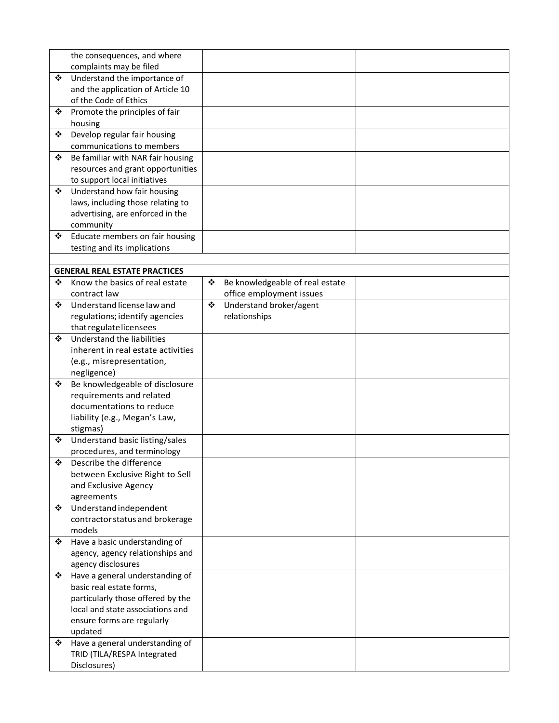|   | the consequences, and where                             |   |                                 |  |
|---|---------------------------------------------------------|---|---------------------------------|--|
|   | complaints may be filed                                 |   |                                 |  |
| ❖ | Understand the importance of                            |   |                                 |  |
|   | and the application of Article 10                       |   |                                 |  |
|   | of the Code of Ethics                                   |   |                                 |  |
| ❖ | Promote the principles of fair                          |   |                                 |  |
|   | housing                                                 |   |                                 |  |
| ❖ | Develop regular fair housing                            |   |                                 |  |
|   | communications to members                               |   |                                 |  |
| ❖ | Be familiar with NAR fair housing                       |   |                                 |  |
|   | resources and grant opportunities                       |   |                                 |  |
|   | to support local initiatives                            |   |                                 |  |
| ❖ | Understand how fair housing                             |   |                                 |  |
|   | laws, including those relating to                       |   |                                 |  |
|   | advertising, are enforced in the                        |   |                                 |  |
| ❖ | community<br>Educate members on fair housing            |   |                                 |  |
|   | testing and its implications                            |   |                                 |  |
|   |                                                         |   |                                 |  |
|   | <b>GENERAL REAL ESTATE PRACTICES</b>                    |   |                                 |  |
| ❖ | Know the basics of real estate                          | ❖ | Be knowledgeable of real estate |  |
|   | contract law                                            |   | office employment issues        |  |
| ❖ | Understand license law and                              | ❖ | Understand broker/agent         |  |
|   | regulations; identify agencies                          |   | relationships                   |  |
|   | that regulate licensees                                 |   |                                 |  |
| ❖ | Understand the liabilities                              |   |                                 |  |
|   | inherent in real estate activities                      |   |                                 |  |
|   | (e.g., misrepresentation,                               |   |                                 |  |
|   | negligence)                                             |   |                                 |  |
| ❖ | Be knowledgeable of disclosure                          |   |                                 |  |
|   | requirements and related                                |   |                                 |  |
|   | documentations to reduce                                |   |                                 |  |
|   | liability (e.g., Megan's Law,                           |   |                                 |  |
|   | stigmas)                                                |   |                                 |  |
| ❖ | Understand basic listing/sales                          |   |                                 |  |
|   | procedures, and terminology                             |   |                                 |  |
| ❖ | Describe the difference                                 |   |                                 |  |
|   | between Exclusive Right to Sell<br>and Exclusive Agency |   |                                 |  |
|   | agreements                                              |   |                                 |  |
| ❖ | Understand independent                                  |   |                                 |  |
|   | contractor status and brokerage                         |   |                                 |  |
|   | models                                                  |   |                                 |  |
| ❖ | Have a basic understanding of                           |   |                                 |  |
|   | agency, agency relationships and                        |   |                                 |  |
|   | agency disclosures                                      |   |                                 |  |
| ❖ | Have a general understanding of                         |   |                                 |  |
|   | basic real estate forms,                                |   |                                 |  |
|   | particularly those offered by the                       |   |                                 |  |
|   | local and state associations and                        |   |                                 |  |
|   | ensure forms are regularly                              |   |                                 |  |
|   | updated                                                 |   |                                 |  |
| ❖ | Have a general understanding of                         |   |                                 |  |
|   | TRID (TILA/RESPA Integrated                             |   |                                 |  |
|   | Disclosures)                                            |   |                                 |  |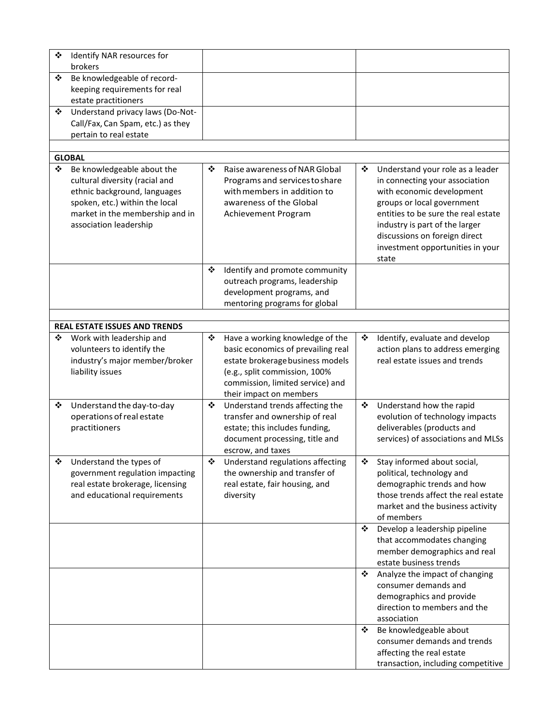| ❖<br>brokers          | Identify NAR resources for                                                                                                                                                                  |   |                                                                                                                                                                                                           |   |                                                                                                                                                                                                                                                                                      |
|-----------------------|---------------------------------------------------------------------------------------------------------------------------------------------------------------------------------------------|---|-----------------------------------------------------------------------------------------------------------------------------------------------------------------------------------------------------------|---|--------------------------------------------------------------------------------------------------------------------------------------------------------------------------------------------------------------------------------------------------------------------------------------|
| ❖<br>❖                | Be knowledgeable of record-<br>keeping requirements for real<br>estate practitioners<br>Understand privacy laws (Do-Not-                                                                    |   |                                                                                                                                                                                                           |   |                                                                                                                                                                                                                                                                                      |
|                       | Call/Fax, Can Spam, etc.) as they<br>pertain to real estate                                                                                                                                 |   |                                                                                                                                                                                                           |   |                                                                                                                                                                                                                                                                                      |
| <b>GLOBAL</b>         |                                                                                                                                                                                             |   |                                                                                                                                                                                                           |   |                                                                                                                                                                                                                                                                                      |
| ❖                     | Be knowledgeable about the<br>cultural diversity (racial and<br>ethnic background, languages<br>spoken, etc.) within the local<br>market in the membership and in<br>association leadership | ❖ | Raise awareness of NAR Global<br>Programs and services to share<br>with members in addition to<br>awareness of the Global<br>Achievement Program                                                          | ❖ | Understand your role as a leader<br>in connecting your association<br>with economic development<br>groups or local government<br>entities to be sure the real estate<br>industry is part of the larger<br>discussions on foreign direct<br>investment opportunities in your<br>state |
|                       |                                                                                                                                                                                             | ❖ | Identify and promote community<br>outreach programs, leadership<br>development programs, and<br>mentoring programs for global                                                                             |   |                                                                                                                                                                                                                                                                                      |
|                       | <b>REAL ESTATE ISSUES AND TRENDS</b>                                                                                                                                                        |   |                                                                                                                                                                                                           |   |                                                                                                                                                                                                                                                                                      |
| ❖<br>liability issues | Work with leadership and<br>volunteers to identify the<br>industry's major member/broker                                                                                                    | ❖ | Have a working knowledge of the<br>basic economics of prevailing real<br>estate brokerage business models<br>(e.g., split commission, 100%<br>commission, limited service) and<br>their impact on members | ❖ | Identify, evaluate and develop<br>action plans to address emerging<br>real estate issues and trends                                                                                                                                                                                  |
| ❖<br>practitioners    | Understand the day-to-day<br>operations of real estate                                                                                                                                      | ❖ | Understand trends affecting the<br>transfer and ownership of real<br>estate; this includes funding,<br>document processing, title and<br>escrow, and taxes                                                | ❖ | Understand how the rapid<br>evolution of technology impacts<br>deliverables (products and<br>services) of associations and MLSs                                                                                                                                                      |
| ❖                     | Understand the types of<br>government regulation impacting<br>real estate brokerage, licensing<br>and educational requirements                                                              | ❖ | Understand regulations affecting<br>the ownership and transfer of<br>real estate, fair housing, and<br>diversity                                                                                          | ❖ | Stay informed about social,<br>political, technology and<br>demographic trends and how<br>those trends affect the real estate<br>market and the business activity<br>of members                                                                                                      |
|                       |                                                                                                                                                                                             |   |                                                                                                                                                                                                           | ❖ | Develop a leadership pipeline<br>that accommodates changing<br>member demographics and real<br>estate business trends                                                                                                                                                                |
|                       |                                                                                                                                                                                             |   |                                                                                                                                                                                                           | ❖ | Analyze the impact of changing<br>consumer demands and<br>demographics and provide<br>direction to members and the<br>association                                                                                                                                                    |
|                       |                                                                                                                                                                                             |   |                                                                                                                                                                                                           | ❖ | Be knowledgeable about<br>consumer demands and trends<br>affecting the real estate<br>transaction, including competitive                                                                                                                                                             |